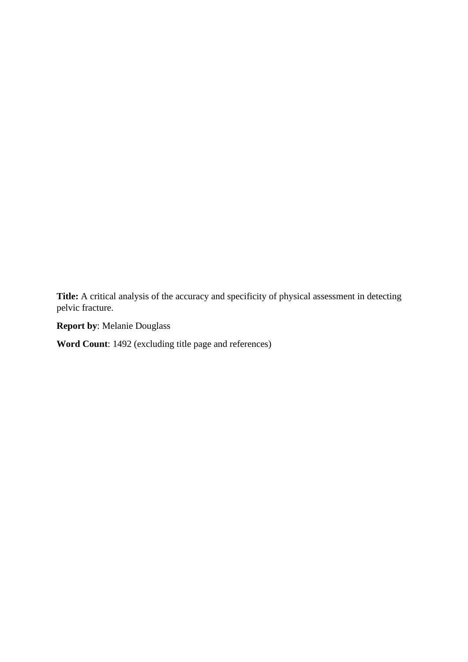**Title:** A critical analysis of the accuracy and specificity of physical assessment in detecting pelvic fracture.

**Report by**: Melanie Douglass

**Word Count**: 1492 (excluding title page and references)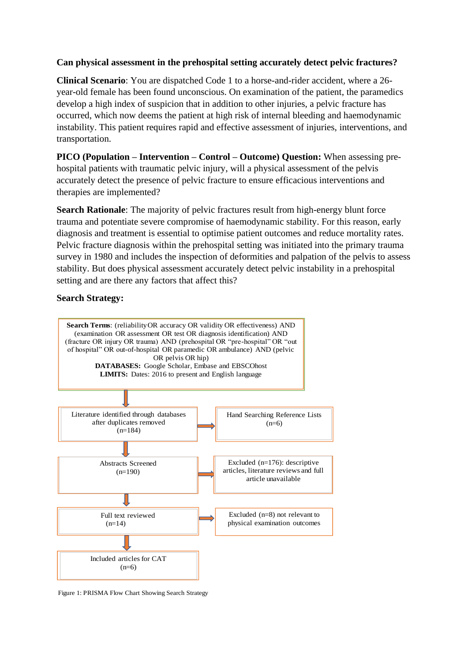## **Can physical assessment in the prehospital setting accurately detect pelvic fractures?**

**Clinical Scenario**: You are dispatched Code 1 to a horse-and-rider accident, where a 26 year-old female has been found unconscious. On examination of the patient, the paramedics develop a high index of suspicion that in addition to other injuries, a pelvic fracture has occurred, which now deems the patient at high risk of internal bleeding and haemodynamic instability. This patient requires rapid and effective assessment of injuries, interventions, and transportation.

**PICO (Population – Intervention – Control – Outcome) Question:** When assessing prehospital patients with traumatic pelvic injury, will a physical assessment of the pelvis accurately detect the presence of pelvic fracture to ensure efficacious interventions and therapies are implemented?

**Search Rationale**: The majority of pelvic fractures result from high-energy blunt force trauma and potentiate severe compromise of haemodynamic stability. For this reason, early diagnosis and treatment is essential to optimise patient outcomes and reduce mortality rates. Pelvic fracture diagnosis within the prehospital setting was initiated into the primary trauma survey in 1980 and includes the inspection of deformities and palpation of the pelvis to assess stability. But does physical assessment accurately detect pelvic instability in a prehospital setting and are there any factors that affect this?

## **Search Strategy:**



Figure 1: PRISMA Flow Chart Showing Search Strategy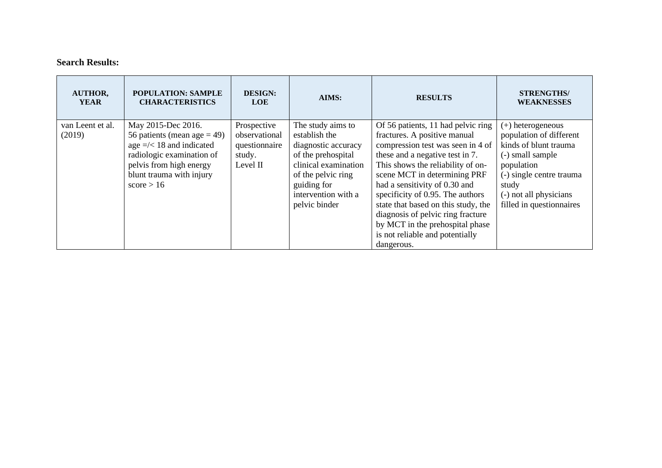## **Search Results:**

| <b>AUTHOR,</b><br><b>YEAR</b> | <b>POPULATION: SAMPLE</b><br><b>CHARACTERISTICS</b>                                                                                                                                       | <b>DESIGN:</b><br><b>LOE</b>                                        | AIMS:                                                                                                                                                                                | <b>RESULTS</b>                                                                                                                                                                                                                                                                                                                                                                                                                                       | <b>STRENGTHS/</b><br><b>WEAKNESSES</b>                                                                                                                                                             |
|-------------------------------|-------------------------------------------------------------------------------------------------------------------------------------------------------------------------------------------|---------------------------------------------------------------------|--------------------------------------------------------------------------------------------------------------------------------------------------------------------------------------|------------------------------------------------------------------------------------------------------------------------------------------------------------------------------------------------------------------------------------------------------------------------------------------------------------------------------------------------------------------------------------------------------------------------------------------------------|----------------------------------------------------------------------------------------------------------------------------------------------------------------------------------------------------|
| van Leent et al.<br>(2019)    | May 2015-Dec 2016.<br>56 patients (mean age $=$ 49)<br>age $=\times 18$ and indicated<br>radiologic examination of<br>pelvis from high energy<br>blunt trauma with injury<br>score $> 16$ | Prospective<br>observational<br>questionnaire<br>study.<br>Level II | The study aims to<br>establish the<br>diagnostic accuracy<br>of the prehospital<br>clinical examination<br>of the pelvic ring<br>guiding for<br>intervention with a<br>pelvic binder | Of 56 patients, 11 had pelvic ring<br>fractures. A positive manual<br>compression test was seen in 4 of<br>these and a negative test in 7.<br>This shows the reliability of on-<br>scene MCT in determining PRF<br>had a sensitivity of 0.30 and<br>specificity of 0.95. The authors<br>state that based on this study, the<br>diagnosis of pelvic ring fracture<br>by MCT in the prehospital phase<br>is not reliable and potentially<br>dangerous. | (+) heterogeneous<br>population of different<br>kinds of blunt trauma<br>(-) small sample<br>population<br>(-) single centre trauma<br>study<br>(-) not all physicians<br>filled in questionnaires |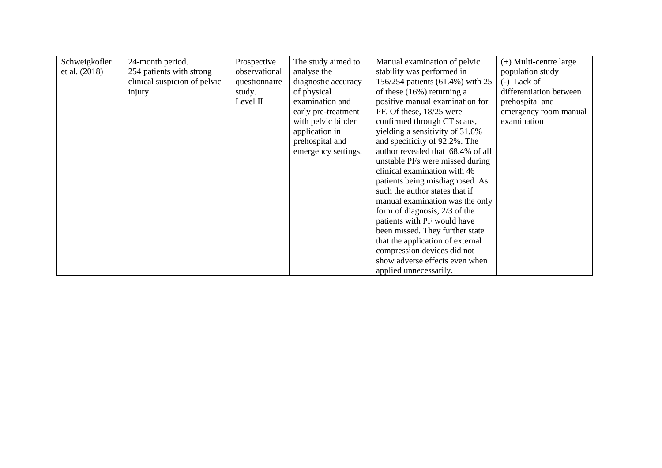| Schweigkofler<br>et al. (2018) | 24-month period.<br>254 patients with strong<br>clinical suspicion of pelvic<br>injury. | Prospective<br>observational<br>questionnaire<br>study.<br>Level II | The study aimed to<br>analyse the<br>diagnostic accuracy<br>of physical<br>examination and<br>early pre-treatment<br>with pelvic binder<br>application in<br>prehospital and<br>emergency settings. | Manual examination of pelvic<br>stability was performed in<br>156/254 patients (61.4%) with 25<br>of these $(16\%)$ returning a<br>positive manual examination for<br>PF. Of these, 18/25 were<br>confirmed through CT scans,<br>yielding a sensitivity of 31.6%<br>and specificity of 92.2%. The<br>author revealed that 68.4% of all<br>unstable PFs were missed during<br>clinical examination with 46<br>patients being misdiagnosed. As<br>such the author states that if<br>manual examination was the only<br>form of diagnosis, $2/3$ of the<br>patients with PF would have<br>been missed. They further state<br>that the application of external<br>compression devices did not<br>show adverse effects even when<br>applied unnecessarily. | $(+)$ Multi-centre large<br>population study<br>$(-)$ Lack of<br>differentiation between<br>prehospital and<br>emergency room manual<br>examination |
|--------------------------------|-----------------------------------------------------------------------------------------|---------------------------------------------------------------------|-----------------------------------------------------------------------------------------------------------------------------------------------------------------------------------------------------|-------------------------------------------------------------------------------------------------------------------------------------------------------------------------------------------------------------------------------------------------------------------------------------------------------------------------------------------------------------------------------------------------------------------------------------------------------------------------------------------------------------------------------------------------------------------------------------------------------------------------------------------------------------------------------------------------------------------------------------------------------|-----------------------------------------------------------------------------------------------------------------------------------------------------|
|--------------------------------|-----------------------------------------------------------------------------------------|---------------------------------------------------------------------|-----------------------------------------------------------------------------------------------------------------------------------------------------------------------------------------------------|-------------------------------------------------------------------------------------------------------------------------------------------------------------------------------------------------------------------------------------------------------------------------------------------------------------------------------------------------------------------------------------------------------------------------------------------------------------------------------------------------------------------------------------------------------------------------------------------------------------------------------------------------------------------------------------------------------------------------------------------------------|-----------------------------------------------------------------------------------------------------------------------------------------------------|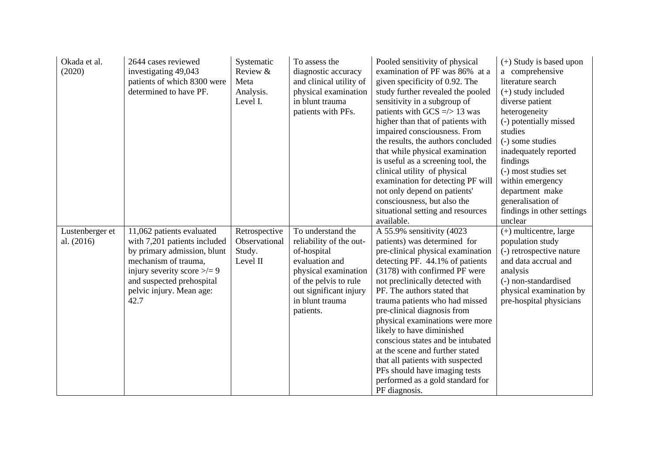| Okada et al.<br>(2020)        | 2644 cases reviewed<br>investigating 49,043<br>patients of which 8300 were<br>determined to have PF.                                                                                                                 | Systematic<br>Review &<br>Meta<br>Analysis.<br>Level I. | To assess the<br>diagnostic accuracy<br>and clinical utility of<br>physical examination<br>in blunt trauma<br>patients with PFs.                                                         | Pooled sensitivity of physical<br>examination of PF was 86% at a<br>given specificity of 0.92. The<br>study further revealed the pooled<br>sensitivity in a subgroup of<br>patients with GCS $\approx$ 13 was<br>higher than that of patients with<br>impaired consciousness. From<br>the results, the authors concluded<br>that while physical examination<br>is useful as a screening tool, the<br>clinical utility of physical<br>examination for detecting PF will<br>not only depend on patients'<br>consciousness, but also the<br>situational setting and resources<br>available. | $(+)$ Study is based upon<br>a comprehensive<br>literature search<br>$(+)$ study included<br>diverse patient<br>heterogeneity<br>(-) potentially missed<br>studies<br>(-) some studies<br>inadequately reported<br>findings<br>(-) most studies set<br>within emergency<br>department make<br>generalisation of<br>findings in other settings<br>unclear |
|-------------------------------|----------------------------------------------------------------------------------------------------------------------------------------------------------------------------------------------------------------------|---------------------------------------------------------|------------------------------------------------------------------------------------------------------------------------------------------------------------------------------------------|------------------------------------------------------------------------------------------------------------------------------------------------------------------------------------------------------------------------------------------------------------------------------------------------------------------------------------------------------------------------------------------------------------------------------------------------------------------------------------------------------------------------------------------------------------------------------------------|----------------------------------------------------------------------------------------------------------------------------------------------------------------------------------------------------------------------------------------------------------------------------------------------------------------------------------------------------------|
| Lustenberger et<br>al. (2016) | 11,062 patients evaluated<br>with 7,201 patients included<br>by primary admission, blunt<br>mechanism of trauma,<br>injury severity score $\geq/=9$<br>and suspected prehospital<br>pelvic injury. Mean age:<br>42.7 | Retrospective<br>Observational<br>Study.<br>Level II    | To understand the<br>reliability of the out-<br>of-hospital<br>evaluation and<br>physical examination<br>of the pelvis to rule<br>out significant injury<br>in blunt trauma<br>patients. | A 55.9% sensitivity (4023)<br>patients) was determined for<br>pre-clinical physical examination<br>detecting PF. 44.1% of patients<br>(3178) with confirmed PF were<br>not preclinically detected with<br>PF. The authors stated that<br>trauma patients who had missed<br>pre-clinical diagnosis from<br>physical examinations were more<br>likely to have diminished<br>conscious states and be intubated<br>at the scene and further stated<br>that all patients with suspected<br>PFs should have imaging tests<br>performed as a gold standard for<br>PF diagnosis.                 | $(+)$ multicentre, large<br>population study<br>(-) retrospective nature<br>and data accrual and<br>analysis<br>(-) non-standardised<br>physical examination by<br>pre-hospital physicians                                                                                                                                                               |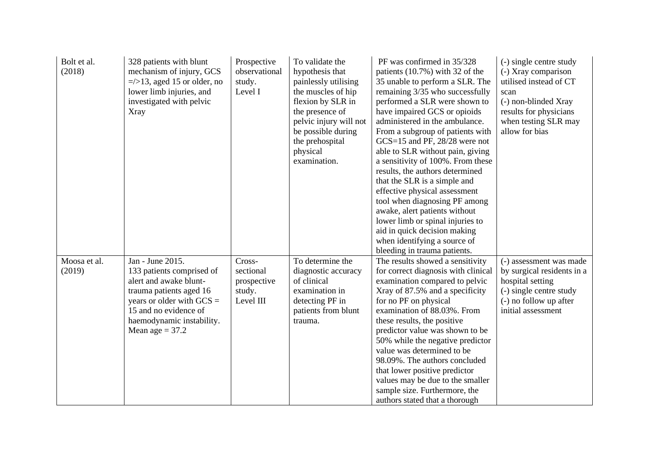| Bolt et al.<br>(2018)  | 328 patients with blunt<br>mechanism of injury, GCS<br>$\approx$ 13, aged 15 or older, no<br>lower limb injuries, and<br>investigated with pelvic<br>Xray                                                    | Prospective<br>observational<br>study.<br>Level I         | To validate the<br>hypothesis that<br>painlessly utilising<br>the muscles of hip<br>flexion by SLR in<br>the presence of<br>pelvic injury will not<br>be possible during<br>the prehospital<br>physical<br>examination. | PF was confirmed in 35/328<br>patients (10.7%) with 32 of the<br>35 unable to perform a SLR. The<br>remaining 3/35 who successfully<br>performed a SLR were shown to<br>have impaired GCS or opioids<br>administered in the ambulance.<br>From a subgroup of patients with<br>GCS=15 and PF, 28/28 were not<br>able to SLR without pain, giving<br>a sensitivity of 100%. From these<br>results, the authors determined<br>that the SLR is a simple and<br>effective physical assessment<br>tool when diagnosing PF among<br>awake, alert patients without<br>lower limb or spinal injuries to<br>aid in quick decision making<br>when identifying a source of<br>bleeding in trauma patients. | (-) single centre study<br>(-) Xray comparison<br>utilised instead of CT<br>scan<br>(-) non-blinded Xray<br>results for physicians<br>when testing SLR may<br>allow for bias |
|------------------------|--------------------------------------------------------------------------------------------------------------------------------------------------------------------------------------------------------------|-----------------------------------------------------------|-------------------------------------------------------------------------------------------------------------------------------------------------------------------------------------------------------------------------|------------------------------------------------------------------------------------------------------------------------------------------------------------------------------------------------------------------------------------------------------------------------------------------------------------------------------------------------------------------------------------------------------------------------------------------------------------------------------------------------------------------------------------------------------------------------------------------------------------------------------------------------------------------------------------------------|------------------------------------------------------------------------------------------------------------------------------------------------------------------------------|
| Moosa et al.<br>(2019) | Jan - June 2015.<br>133 patients comprised of<br>alert and awake blunt-<br>trauma patients aged 16<br>years or older with $GCS =$<br>15 and no evidence of<br>haemodynamic instability.<br>Mean age $= 37.2$ | Cross-<br>sectional<br>prospective<br>study.<br>Level III | To determine the<br>diagnostic accuracy<br>of clinical<br>examination in<br>detecting PF in<br>patients from blunt<br>trauma.                                                                                           | The results showed a sensitivity<br>for correct diagnosis with clinical<br>examination compared to pelvic<br>Xray of 87.5% and a specificity<br>for no PF on physical<br>examination of 88.03%. From<br>these results, the positive<br>predictor value was shown to be<br>50% while the negative predictor<br>value was determined to be<br>98.09%. The authors concluded<br>that lower positive predictor<br>values may be due to the smaller<br>sample size. Furthermore, the<br>authors stated that a thorough                                                                                                                                                                              | (-) assessment was made<br>by surgical residents in a<br>hospital setting<br>(-) single centre study<br>(-) no follow up after<br>initial assessment                         |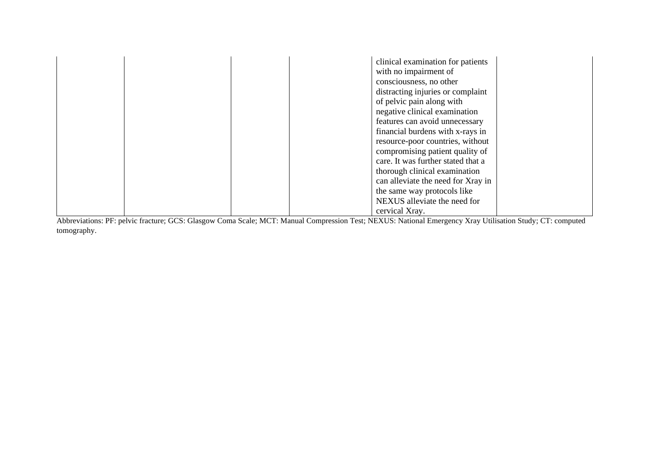|  |  | clinical examination for patients  |  |
|--|--|------------------------------------|--|
|  |  | with no impairment of              |  |
|  |  | consciousness, no other            |  |
|  |  | distracting injuries or complaint  |  |
|  |  | of pelvic pain along with          |  |
|  |  | negative clinical examination      |  |
|  |  | features can avoid unnecessary     |  |
|  |  | financial burdens with x-rays in   |  |
|  |  | resource-poor countries, without   |  |
|  |  | compromising patient quality of    |  |
|  |  | care. It was further stated that a |  |
|  |  | thorough clinical examination      |  |
|  |  | can alleviate the need for Xray in |  |
|  |  | the same way protocols like        |  |
|  |  | NEXUS alleviate the need for       |  |
|  |  | cervical Xray.                     |  |

Abbreviations: PF: pelvic fracture; GCS: Glasgow Coma Scale; MCT: Manual Compression Test; NEXUS: National Emergency Xray Utilisation Study; CT: computed tomography.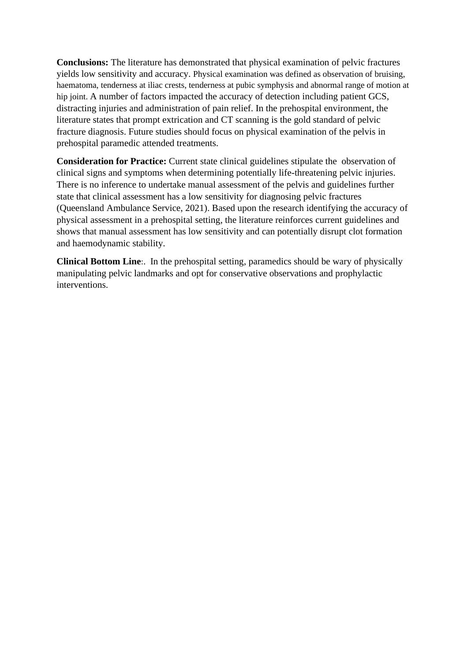**Conclusions:** The literature has demonstrated that physical examination of pelvic fractures yields low sensitivity and accuracy. Physical examination was defined as observation of bruising, haematoma, tenderness at iliac crests, tenderness at pubic symphysis and abnormal range of motion at hip joint. A number of factors impacted the accuracy of detection including patient GCS, distracting injuries and administration of pain relief. In the prehospital environment, the literature states that prompt extrication and CT scanning is the gold standard of pelvic fracture diagnosis. Future studies should focus on physical examination of the pelvis in prehospital paramedic attended treatments.

**Consideration for Practice:** Current state clinical guidelines stipulate the observation of clinical signs and symptoms when determining potentially life-threatening pelvic injuries. There is no inference to undertake manual assessment of the pelvis and guidelines further state that clinical assessment has a low sensitivity for diagnosing pelvic fractures (Queensland Ambulance Service, 2021). Based upon the research identifying the accuracy of physical assessment in a prehospital setting, the literature reinforces current guidelines and shows that manual assessment has low sensitivity and can potentially disrupt clot formation and haemodynamic stability.

**Clinical Bottom Line**:. In the prehospital setting, paramedics should be wary of physically manipulating pelvic landmarks and opt for conservative observations and prophylactic interventions.